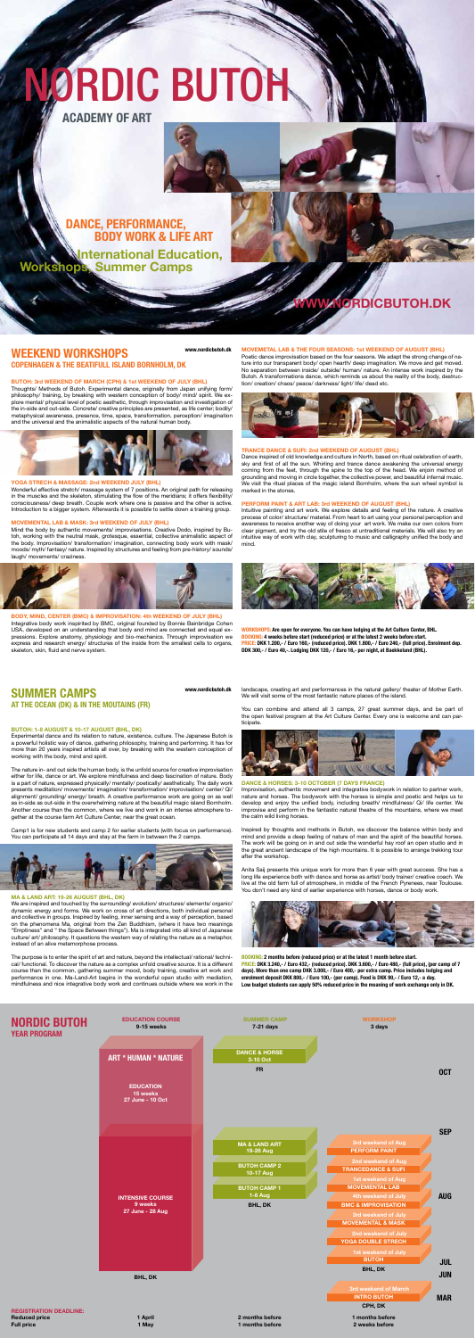### **BUTOH: 3rd WEEKEND OF MARCH (CPH) & 1st WEEKEND OF JULY (BHL)**

Thoughts/ Methods of Butoh. Experimental dance, originally from Japan unifying form/ philosophy/ training, by breaking with western conception of body/ mind/ spirit. We explore mental/ physical level of poetic aesthetic, through improvisation and investigation of the in-side and out-side. Concrete/ creative principles are presented, as life center; bodily/ metaphysical awareness, presence, time, space, transformation, perception/ imagination and the universal and the animalistic aspects of the natural human body.



#### **YOGA STRECH & MASSAGE: 2nd Weekend July (Bhl)**

**BODY, MIND, CENTER (BMC) & IMPROVISATION: 4th Weekend of July (Bhl)** Integrative body work inspirited by BMC, original founded by Bonnie Bainbridge Cohen USA, developed on an understanding that body and mind are connected and equal expressions. Explore anatomy, physiology and bio-mechanics. Through improvisation we express and research energy/ structures of the inside from the smallest cells to organs, skeleton, skin, fluid and nerve system.

Wonderful effective stretch/ massage system of 7 positions. An original path for releasing in the muscles and the skeleton, stimulating the flow of the meridians; it offers flexibility/ consciousness/ deep breath. Couple work where one is passive and the other is active. Introduction to a bigger system. Afterwards it is possible to settle down a training group.

Poetic dance improvisation based on the four seasons. We adapt the strong change of nature into our transparent body/ open hearth/ deep imagination. We move and get moved. No separation between inside/ outside/ human/ nature. An intense work inspired by the Butoh. A transformations dance, which reminds us about the reality of the body, destruction/ creation/ chaos/ peace/ darkness/ light/ life/ dead etc.



#### **MOVEMENTAL LAB & MASK: 3rd Weekend of July (Bhl)**

Mind the body by authentic movements/ improvisations. Creative Dodo, inspired by Butoh, working with the neutral mask, grotesque, essential, collective animalistic aspect of the body. Improvisation/ transformation/ imagination, connecting body work with mask/ moods/ myth/ fantasy/ nature. Inspired by structures and feeling from pre-history/ sounds/ laugh/ movements/ craziness.



#### **MOVEMETAL LAB & THE FOUR SEASONS: 1st Weekend of August (Bhl)**

#### **TRANCE DANCE & SUFI: 2nd Weekend of August (Bhl)**

Dance inspired of old knowledge and culture in North, based on ritual celebration of earth, sky and first of all the sun. Whirling and trance dance awakening the universal energy coming from the feet, through the spine to the top of the head. We enjoin method of grounding and moving in circle together, the collective power, and beautiful infernal music. We visit the ritual places of the magic island Bornholm, where the sun wheel symbol is marked in the stones.

#### **PERFORM PAINT & ART LAB: 3rd Weekend of August (Bhl)**

Intuitive painting and art work. We explore details and feeling of the nature. A creative process of color/ structure/ material. From heart to art using your personal perception and awareness to receive another way of doing your art work. We make our own colors from clear pigment, and try the old stile of fresco at untraditional materials. We will also try an intuitive way of work with clay, sculpturing to music and calligraphy unified the body and mind.



**Workshops: Are open for everyone. You can have lodging at the Art Culture Center, BHL. Booking: 4 weeks before start (reduced price) or at the latest 2 weeks before start. Price: DKK 1.200,- / Euro 160,- (reduced price). DKK 1.800,- / Euro 240,- (full price). Enrolment dep. DDK 300,- / Euro 40,-. Lodging DKK 120,- / Euro 16,- per night, at Baekkelund (BHL).**

#### **BUTOH: 1-8 August & 10-17 August (Bhl, DK)**

Experimental dance and its relation to nature, existence, culture. The Japanese Butoh is a powerful holistic way of dance, gathering philosophy, training and performing. It has for more than 20 years inspired artists all over, by breaking with the western conception of working with the body, mind and spirit.

The nature in- and out side the human body, is the unfold source for creative improvisation either for life, dance or art. We explore mindfulness and deep fascination of nature. Body is a part of nature, expressed physically/ mentally/ poetically/ aesthetically. The daily work presents meditation/ movements/ imagination/ transformation/ improvisation/ center/ Qi/ alignment/ grounding/ energy/ breath. A creative performance work are going on as well as in-side as out-side in the overwhelming nature at the beautiful magic island Bornholm. Another course than the common, where we live and work in an intense atmosphere together at the course farm Art Culture Center, near the great ocean.

Camp1 is for new students and camp 2 for earlier students (with focus on performance). You can participate all 14 days and stay at the farm in between the 2 camps.



#### **MA & LAND ART: 19-26 August (Bhl, DK)**

We are inspired and touched by the surrounding/ evolution/ structures/ elements/ organic/ dynamic energy and forms. We work on cross of art directions, both individual personal and collective in groups. Inspired by feeling, inner sensing and a way of perception, based on the phenomena Ma, original from the Zen Buddhism, (where it have two meanings "Emptiness" and " the Space Between things"). Ma is integrated into all kind of Japanese culture/ art/ philosophy. It questions the western way of relating the nature as a metaphor, instead of an alive metamorphose process.

The purpose is to enter the spirit of art and nature, beyond the intellectual/ rational/ technical/ functional. To discover the nature as a complex unfold creative source. It is a different course than the common, gathering summer mood, body training, creative art work and performance in one. Ma-Land-Art begins in the wonderful open studio with mediation, mindfulness and nice integrative body work and continues outside where we work in the

landscape, creating art and performances in the natural gallery/ theater of Mother Earth. We will visit some of the most fantastic nature places of the island.

You can combine and attend all 3 camps, 27 great summer days, and be part of the open festival program at the Art Culture Center. Every one is welcome and can par-

ticipate.



#### **DANCE & HORSES: 3-10 October (7 days France)**

Improvisation, authentic movement and integrative bodywork in relation to partner work, nature and horses. The bodywork with the horses is simple and poetic and helps us to develop and enjoy the unified body, including breath/ mindfulness/ Qi/ life center. We improvise and perform in the fantastic natural theatre of the mountains, where we meet the calm wild living horses.

Inspired by thoughts and methods in Butoh, we discover the balance within body and mind and provide a deep feeling of nature of man and the spirit of the beautiful horses. The work will be going on in and out side the wonderful hay roof an open studio and in the great ancient landscape of the high mountains. It is possible to arrange trekking tour after the workshop.

Anita Saij presents this unique work for more than 6 year with great success. She has a long life experience both with dance and horse as artist/ body trainer/ creative coach. We live at the old farm full of atmosphere, in middle of the French Pyrenees, near Toulouse. You don't need any kind of earlier experience with horses, dance or body work.



**Booking: 2 months before (reduced price) or at the latest 1 month before start. Price: DKK 3.240,- / Euro 432,- (reduced price). DKK 3.600,- / Euro 480,- (full price), (per camp of 7 days). More than one camp DKK 3.000,- / Euro 400,- per extra camp. Price includes lodging and enrolment deposit DKK 800,- / Euro 100,- (per camp). Food is DKK 90,- / Euro 12,- a day. Low budget students can apply 50% reduced price in the meaning of work exchange only in DK.**

#### **WEEKEND WORKSHOPS COPENHAGEN & THE BEATIFULL ISLAND BORNHOLM, DK www.nordicbutoh.dk**

**SUMMER CAMPS AT THE OCEAN (DK) & IN THE MOUTAINS (FR)** **www.nordicbutoh.dk**

# **www.nordicbutoh.dk**



# NORDIC BUTOH

**Academy Of Art**